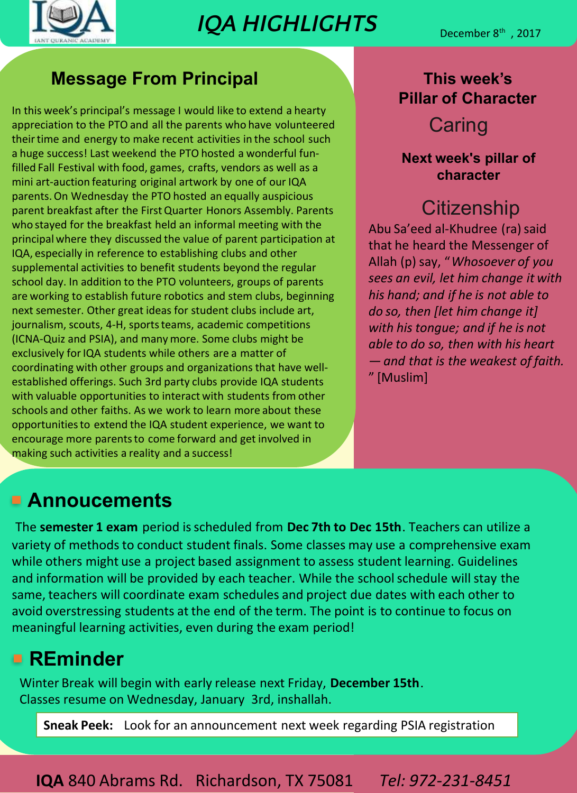

## **IQA HIGHLIGHTS**

#### **Message From Principal**

In this week's principal's message I would like to extend a hearty appreciation to the PTO and all the parents who have volunteered their time and energy to make recent activities in the school such a huge success! Last weekend the PTO hosted a wonderful fun‐ filled Fall Festival with food, games, crafts, vendors as well as a mini art‐auction featuring original artwork by one of our IQA parents.On Wednesday the PTO hosted an equally auspicious parent breakfast after the FirstQuarter Honors Assembly. Parents who stayed for the breakfast held an informal meeting with the principal where they discussed the value of parent participation at IQA, especially in reference to establishing clubs and other supplemental activities to benefit students beyond the regular school day. In addition to the PTO volunteers, groups of parents are working to establish future robotics and stem clubs, beginning next semester. Other great ideas for student clubs include art, journalism, scouts, 4-H, sports teams, academic competitions (ICNA‐Quiz and PSIA), and many more. Some clubs might be exclusively for IQA students while others are a matter of coordinating with other groups and organizations that have well‐ established offerings. Such 3rd party clubs provide IQA students with valuable opportunities to interact with students from other schools and other faiths. As we work to learn more about these opportunitiesto extend the IQA student experience, we want to encourage more parents to come forward and get involved in making such activities a reality and a success!

#### **This week's Pillar of Character**

### **Caring**

#### **Next week's pillar of character**

## **Citizenship**

Abu Sa'eed al-Khudree (ra) said that he heard the Messenger of Allah (p) say, "*Whosoever of you sees an evil, let him change it with his hand; and if he is not able to do so, then [let him change it] with his tongue; and if he is not able to do so, then with his heart — and that is the weakest of faith.* " [Muslim]

### **Annoucements**

The **semester 1 exam** period isscheduled from **Dec 7th to Dec 15th**. Teachers can utilize a variety of methods to conduct student finals. Some classes may use a comprehensive exam while others might use a project based assignment to assess student learning. Guidelines and information will be provided by each teacher. While the school schedule will stay the same, teachers will coordinate exam schedules and project due dates with each other to avoid overstressing students at the end of the term. The point is to continue to focus on meaningful learning activities, even during the exam period!

## **REminder**

Winter Break will begin with early release next Friday, **December 15th**. Classes resume on Wednesday, January 3rd, inshallah.

**Sneak Peek:** Look for an announcement next week regarding PSIA registration

#### **IQA** 840 Abrams Rd. Richardson, TX 75081 *Tel: 972‐231‐8451*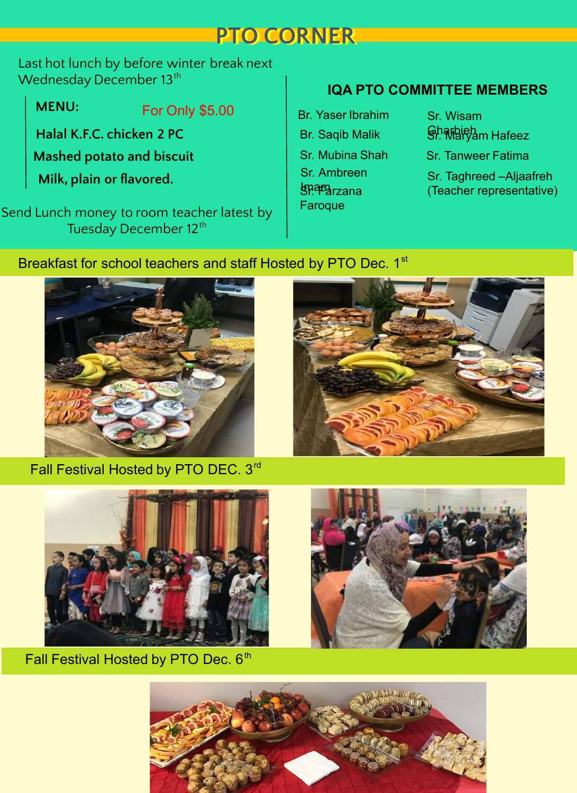## **PTO CORNER**

Last hot lunch by before winter break next Wednesday December 13 $^{\rm th}$ 

**Halal K.F.C. chicken 2 PC Milk, plain or flavored.** For Only \$5.00 **MENU: Mashed potato and biscuit**

Send Lunch money to room teacher latest by Tuesday December 12<sup>th</sup>

#### **IQA PTO COMMITTEE MEMBERS**

Br. Yaser Ibrahim Br. Saqib Malik **Isnama**rzana **Faroque** Sr. Ambreen Sr. Mubina Shah

Sr. Wisam Gharbieh Sr. Maryam Hafeez Sr. Tanweer Fatima Sr. Taghreed –Aljaafreh (Teacher representative)

#### Breakfast for school teachers and staff Hosted by PTO Dec. 1st



Fall Festival Hosted by PTO DEC. 3<sup>rd</sup>





Fall Festival Hosted by PTO Dec. 6<sup>th</sup>



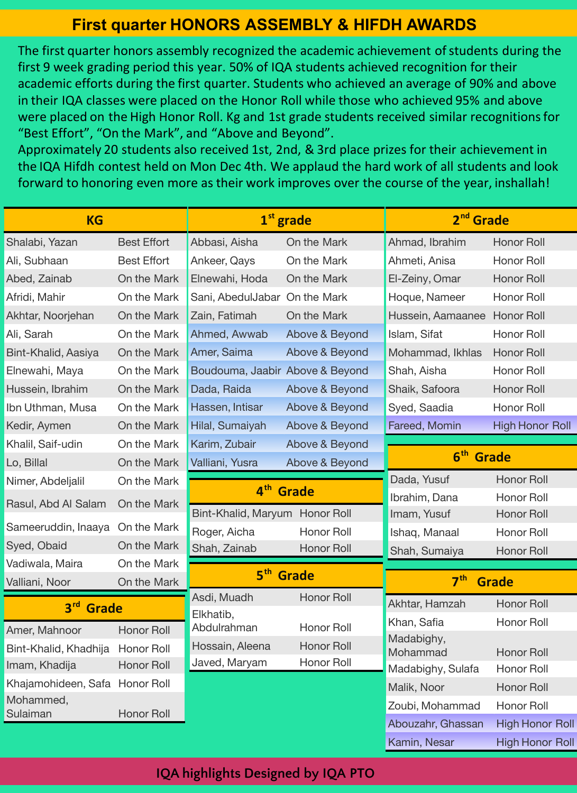#### **First quarter HONORS ASSEMBLY & HIFDH AWARDS**

The first quarter honors assembly recognized the academic achievement of students during the first 9 week grading period this year. 50% of IQA students achieved recognition for their academic efforts during the first quarter. Students who achieved an average of 90% and above in their IQA classes were placed on the Honor Roll while those who achieved 95% and above were placed on the High Honor Roll. Kg and 1st grade students received similar recognitionsfor "Best Effort", "On the Mark", and "Above and Beyond".

Approximately 20 students also received 1st, 2nd, & 3rd place prizes for their achievement in the IQA Hifdh contest held on Mon Dec 4th. We applaud the hard work of all students and look forward to honoring even more as their work improves over the course of the year, inshallah!

| <b>KG</b>                         |                            |                                 | $1st$ grade       | 2 <sup>nd</sup> Grade           |                        |
|-----------------------------------|----------------------------|---------------------------------|-------------------|---------------------------------|------------------------|
| Shalabi, Yazan                    | <b>Best Effort</b>         | Abbasi, Aisha                   | On the Mark       | Ahmad, Ibrahim                  | <b>Honor Roll</b>      |
| Ali, Subhaan                      | <b>Best Effort</b>         | Ankeer, Qays                    | On the Mark       | Ahmeti, Anisa                   | Honor Roll             |
| Abed, Zainab                      | On the Mark                | Elnewahi, Hoda                  | On the Mark       | El-Zeiny, Omar                  | <b>Honor Roll</b>      |
| Afridi, Mahir                     | On the Mark                | Sani, AbedulJabar On the Mark   |                   | Hoque, Nameer                   | Honor Roll             |
| Akhtar, Noorjehan                 | On the Mark                | Zain, Fatimah                   | On the Mark       | Hussein, Aamaanee               | <b>Honor Roll</b>      |
| Ali, Sarah                        | On the Mark                | Ahmed, Awwab                    | Above & Beyond    | Islam, Sifat                    | Honor Roll             |
| Bint-Khalid, Aasiya               | On the Mark                | Amer, Saima                     | Above & Beyond    | Mohammad, Ikhlas                | <b>Honor Roll</b>      |
| Elnewahi, Maya                    | On the Mark                | Boudouma, Jaabir Above & Beyond |                   | Shah, Aisha                     | Honor Roll             |
| Hussein, Ibrahim                  | On the Mark                | Dada, Raida                     | Above & Beyond    | Shaik, Safoora                  | <b>Honor Roll</b>      |
| Ibn Uthman, Musa                  | On the Mark                | Hassen, Intisar                 | Above & Beyond    | Syed, Saadia                    | Honor Roll             |
| Kedir, Aymen                      | On the Mark                | Hilal, Sumaiyah                 | Above & Beyond    | Fareed, Momin                   | <b>High Honor Roll</b> |
| Khalil, Saif-udin                 | On the Mark                | Karim, Zubair                   | Above & Beyond    |                                 |                        |
| Lo, Billal                        | On the Mark                | Valliani, Yusra                 | Above & Beyond    | 6 <sup>th</sup> Grade           |                        |
| Nimer, Abdeljalil                 | On the Mark                |                                 |                   | Dada, Yusuf                     | Honor Roll             |
| Rasul, Abd Al Salam               | On the Mark                | 4 <sup>th</sup><br><b>Grade</b> |                   | Ibrahim, Dana                   | Honor Roll             |
|                                   |                            | Bint-Khalid, Maryum Honor Roll  |                   | Imam, Yusuf                     | Honor Roll             |
| Sameeruddin, Inaaya               | On the Mark                | Roger, Aicha                    | Honor Roll        | Ishaq, Manaal                   | Honor Roll             |
| Syed, Obaid                       | On the Mark                | Shah, Zainab                    | <b>Honor Roll</b> | Shah, Sumaiya                   | Honor Roll             |
| Vadiwala, Maira<br>Valliani, Noor | On the Mark<br>On the Mark | 5 <sup>th</sup> Grade           |                   | 7 <sup>th</sup><br><b>Grade</b> |                        |
|                                   |                            | Asdi, Muadh                     | Honor Roll        |                                 |                        |
| 3rd Grade                         |                            | Elkhatib,                       |                   | Akhtar, Hamzah                  | Honor Roll             |
| Amer, Mahnoor                     | Honor Roll                 | Abdulrahman                     | Honor Roll        | Khan, Safia                     | Honor Roll             |
| Bint-Khalid, Khadhija             | Honor Roll                 | Hossain, Aleena                 | <b>Honor Roll</b> | Madabighy,<br>Mohammad          | <b>Honor Roll</b>      |
| Imam, Khadija                     | Honor Roll                 | Javed, Maryam                   | <b>Honor Roll</b> | Madabighy, Sulafa               | Honor Roll             |
| Khajamohideen, Safa Honor Roll    |                            |                                 |                   | Malik, Noor                     | Honor Roll             |
| Mohammed,                         |                            |                                 |                   | Zoubi, Mohammad                 | Honor Roll             |
| Sulaiman                          | Honor Roll                 |                                 |                   | Abouzahr, Ghassan               | <b>High Honor Roll</b> |
|                                   |                            |                                 |                   | Kamin, Nesar                    | <b>High Honor Roll</b> |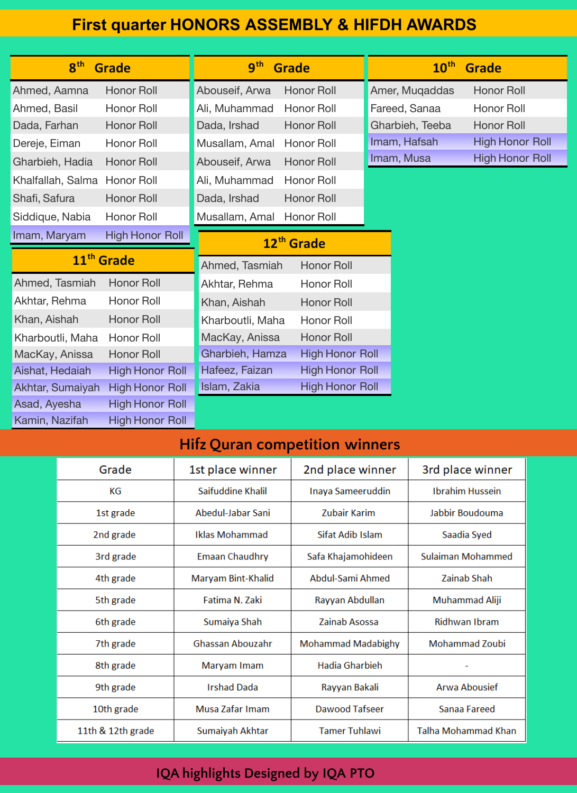#### **First quarter HONORS ASSEMBLY & HIFDH AWARDS**

| 8 <sup>th</sup><br><b>Grade</b> |                        | 9 <sup>th</sup><br><b>Grade</b> |                        | $10^{\text{th}}$<br><b>Grade</b> |                 |                        |
|---------------------------------|------------------------|---------------------------------|------------------------|----------------------------------|-----------------|------------------------|
| Ahmed, Aamna                    | <b>Honor Roll</b>      | Abouseif, Arwa                  | <b>Honor Roll</b>      |                                  | Amer, Muqaddas  | <b>Honor Roll</b>      |
| Ahmed, Basil                    | Honor Roll             | Ali, Muhammad                   | Honor Roll             |                                  | Fareed, Sanaa   | Honor Roll             |
| Dada, Farhan                    | Honor Roll             | Dada, Irshad                    | Honor Roll             |                                  | Gharbieh, Teeba | Honor Roll             |
| Dereje, Eiman                   | Honor Roll             | Musallam, Amal                  | Honor Roll             |                                  | Imam, Hafsah    | <b>High Honor Roll</b> |
| Gharbieh, Hadia                 | Honor Roll             | Abouseif, Arwa                  | <b>Honor Roll</b>      |                                  | Imam, Musa      | <b>High Honor Roll</b> |
| Khalfallah, Salma               | Honor Roll             | Ali, Muhammad                   | Honor Roll             |                                  |                 |                        |
| Shafi, Safura                   | <b>Honor Roll</b>      | Dada, Irshad                    | Honor Roll             |                                  |                 |                        |
| Siddique, Nabia                 | Honor Roll             | Musallam, Amal                  | Honor Roll             |                                  |                 |                        |
| Imam, Maryam                    | <b>High Honor Roll</b> |                                 | 12 <sup>th</sup> Grade |                                  |                 |                        |
| 11 <sup>th</sup> Grade          |                        | Ahmed, Tasmiah                  | <b>Honor Roll</b>      |                                  |                 |                        |
| Ahmed, Tasmiah                  | Honor Roll             | Akhtar, Rehma                   | Honor Roll             |                                  |                 |                        |
| Akhtar, Rehma                   | Honor Roll             | Khan, Aishah                    | <b>Honor Roll</b>      |                                  |                 |                        |
| Khan, Aishah                    | Honor Roll             | Kharboutli, Maha                | Honor Roll             |                                  |                 |                        |
| Kharboutli, Maha                | Honor Roll             | MacKay, Anissa                  | Honor Roll             |                                  |                 |                        |
| MacKay, Anissa                  | <b>Honor Roll</b>      | Gharbieh, Hamza                 | <b>High Honor Roll</b> |                                  |                 |                        |
| Aishat, Hedaiah                 | <b>High Honor Roll</b> | Hafeez, Faizan                  | <b>High Honor Roll</b> |                                  |                 |                        |
| Akhtar, Sumaiyah                | <b>High Honor Roll</b> | Islam, Zakia                    | <b>High Honor Roll</b> |                                  |                 |                        |
| Asad, Ayesha                    | <b>High Honor Roll</b> |                                 |                        |                                  |                 |                        |
| Kamin, Nazifah                  | <b>High Honor Roll</b> |                                 |                        |                                  |                 |                        |

#### **Hifz Quran competition winners**

| Grade             | 1st place winner                   | 2nd place winner          | 3rd place winner       |
|-------------------|------------------------------------|---------------------------|------------------------|
| КG                | Saifuddine Khalil                  | Inaya Sameeruddin         | <b>Ibrahim Hussein</b> |
| 1st grade         | Abedul-Jabar Sani<br>Zubair Karim  |                           | Jabbir Boudouma        |
| 2nd grade         | Iklas Mohammad<br>Sifat Adib Islam |                           | Saadia Syed            |
| 3rd grade         | <b>Emaan Chaudhry</b>              | Safa Khajamohideen        | Sulaiman Mohammed      |
| 4th grade         | Maryam Bint-Khalid                 | Abdul-Sami Ahmed          | Zainab Shah            |
| 5th grade         | Fatima N. Zaki<br>Rayyan Abdullan  |                           | Muhammad Aliji         |
| 6th grade         | Sumaiya Shah                       | Zainab Asossa             | <b>Ridhwan Ibram</b>   |
| 7th grade         | Ghassan Abouzahr                   | <b>Mohammad Madabighy</b> | <b>Mohammad Zoubi</b>  |
| 8th grade         | Maryam Imam                        | Hadia Gharbieh            |                        |
| 9th grade         | <b>Irshad Dada</b>                 | Rayyan Bakali             | Arwa Abousief          |
| 10th grade        | Musa Zafar Imam                    | Dawood Tafseer            | Sanaa Fareed           |
| 11th & 12th grade | Sumaiyah Akhtar                    | <b>Tamer Tuhlawi</b>      | Talha Mohammad Khan    |

#### **IQA highlights Designed by IQA PTO**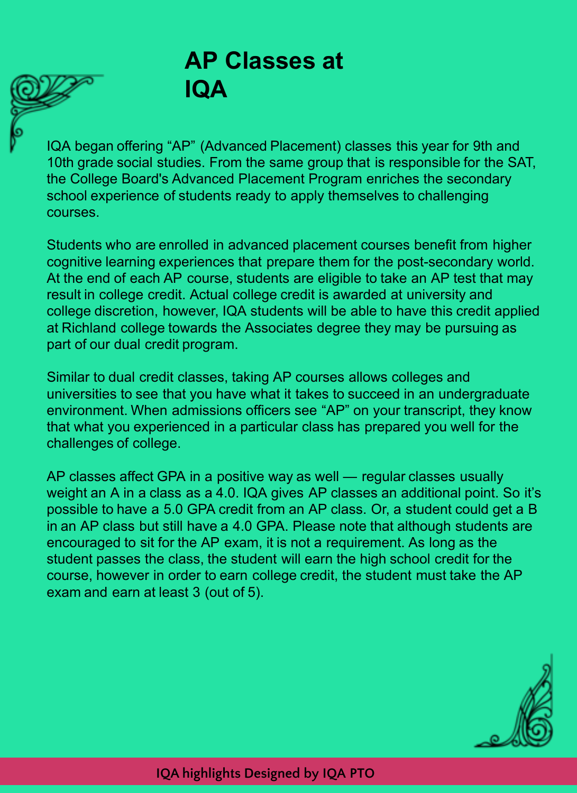## **AP Classes at IQA**

IQA began offering "AP" (Advanced Placement) classes this year for 9th and 10th grade social studies. From the same group that is responsible for the SAT, the College Board's Advanced Placement Program enriches the secondary school experience of students ready to apply themselves to challenging courses.

Students who are enrolled in advanced placement courses benefit from higher cognitive learning experiences that prepare them for the post-secondary world. At the end of each AP course, students are eligible to take an AP test that may result in college credit. Actual college credit is awarded at university and college discretion, however, IQA students will be able to have this credit applied at Richland college towards the Associates degree they may be pursuing as part of our dual credit program.

Similar to dual credit classes, taking AP courses allows colleges and universities to see that you have what it takes to succeed in an undergraduate environment. When admissions officers see "AP" on your transcript, they know that what you experienced in a particular class has prepared you well for the challenges of college.

AP classes affect GPA in a positive way as well — regular classes usually weight an A in a class as a 4.0. IQA gives AP classes an additional point. So it's possible to have a 5.0 GPA credit from an AP class. Or, a student could get a B in an AP class but still have a 4.0 GPA. Please note that although students are encouraged to sit for the AP exam, it is not a requirement. As long as the student passes the class, the student will earn the high school credit for the course, however in order to earn college credit, the student must take the AP exam and earn at least 3 (out of 5).

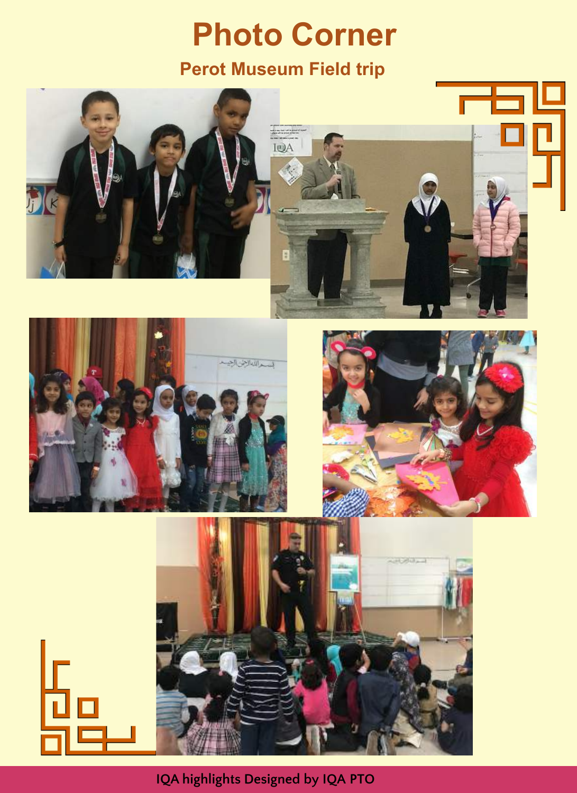## **Photo Corner Perot Museum Field trip**



**IQA highlights Designed by IQA PTO**